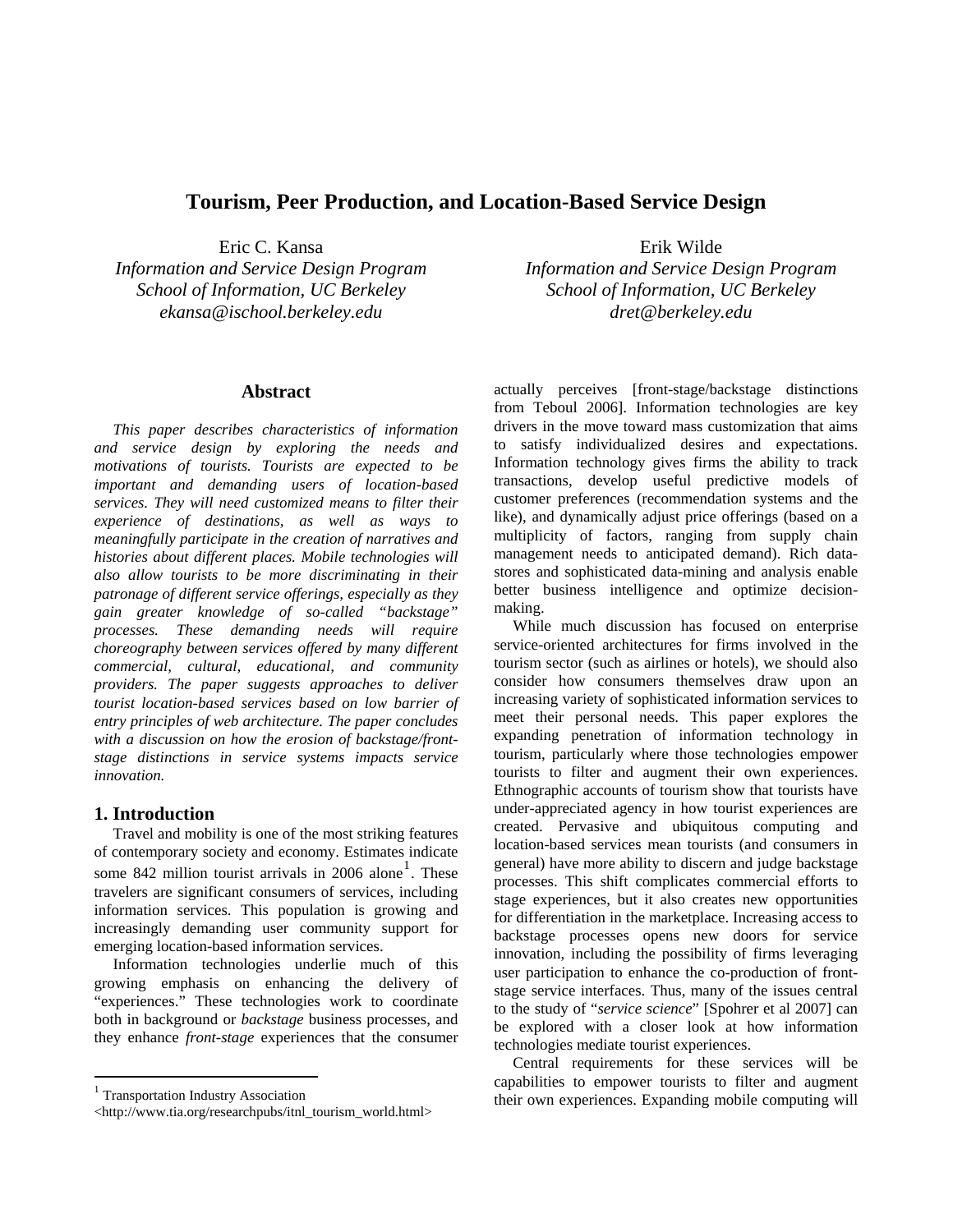# **Tourism, Peer Production, and Location-Based Service Design**

Eric C. Kansa

*Information and Service Design Program School of Information, UC Berkeley ekansa@ischool.berkeley.edu* 

#### **Abstract**

*This paper describes characteristics of information and service design by exploring the needs and motivations of tourists. Tourists are expected to be important and demanding users of location-based services. They will need customized means to filter their experience of destinations, as well as ways to meaningfully participate in the creation of narratives and histories about different places. Mobile technologies will also allow tourists to be more discriminating in their patronage of different service offerings, especially as they gain greater knowledge of so-called "backstage" processes. These demanding needs will require choreography between services offered by many different commercial, cultural, educational, and community providers. The paper suggests approaches to deliver tourist location-based services based on low barrier of entry principles of web architecture. The paper concludes with a discussion on how the erosion of backstage/frontstage distinctions in service systems impacts service innovation.* 

### **1. Introduction**

Travel and mobility is one of the most striking features of contemporary society and economy. Estimates indicate some 842 million tourist arrivals in  $2006$  alone<sup>[1](#page-0-0)</sup>. These travelers are significant consumers of services, including information services. This population is growing and increasingly demanding user community support for emerging location-based information services.

Information technologies underlie much of this growing emphasis on enhancing the delivery of "experiences." These technologies work to coordinate both in background or *backstage* business processes, and they enhance *front-stage* experiences that the consumer

 $\overline{a}$ 

Erik Wilde

*Information and Service Design Program School of Information, UC Berkeley dret@berkeley.edu*

actually perceives [front-stage/backstage distinctions from Teboul 2006]. Information technologies are key drivers in the move toward mass customization that aims to satisfy individualized desires and expectations. Information technology gives firms the ability to track transactions, develop useful predictive models of customer preferences (recommendation systems and the like), and dynamically adjust price offerings (based on a multiplicity of factors, ranging from supply chain management needs to anticipated demand). Rich datastores and sophisticated data-mining and analysis enable better business intelligence and optimize decisionmaking.

While much discussion has focused on enterprise service-oriented architectures for firms involved in the tourism sector (such as airlines or hotels), we should also consider how consumers themselves draw upon an increasing variety of sophisticated information services to meet their personal needs. This paper explores the expanding penetration of information technology in tourism, particularly where those technologies empower tourists to filter and augment their own experiences. Ethnographic accounts of tourism show that tourists have under-appreciated agency in how tourist experiences are created. Pervasive and ubiquitous computing and location-based services mean tourists (and consumers in general) have more ability to discern and judge backstage processes. This shift complicates commercial efforts to stage experiences, but it also creates new opportunities for differentiation in the marketplace. Increasing access to backstage processes opens new doors for service innovation, including the possibility of firms leveraging user participation to enhance the co-production of frontstage service interfaces. Thus, many of the issues central to the study of "*service science*" [Spohrer et al 2007] can be explored with a closer look at how information technologies mediate tourist experiences.

Central requirements for these services will be capabilities to empower tourists to filter and augment their own experiences. Expanding mobile computing will

<span id="page-0-0"></span><sup>&</sup>lt;sup>1</sup> Transportation Industry Association

<sup>&</sup>lt;http://www.tia.org/researchpubs/itnl\_tourism\_world.html>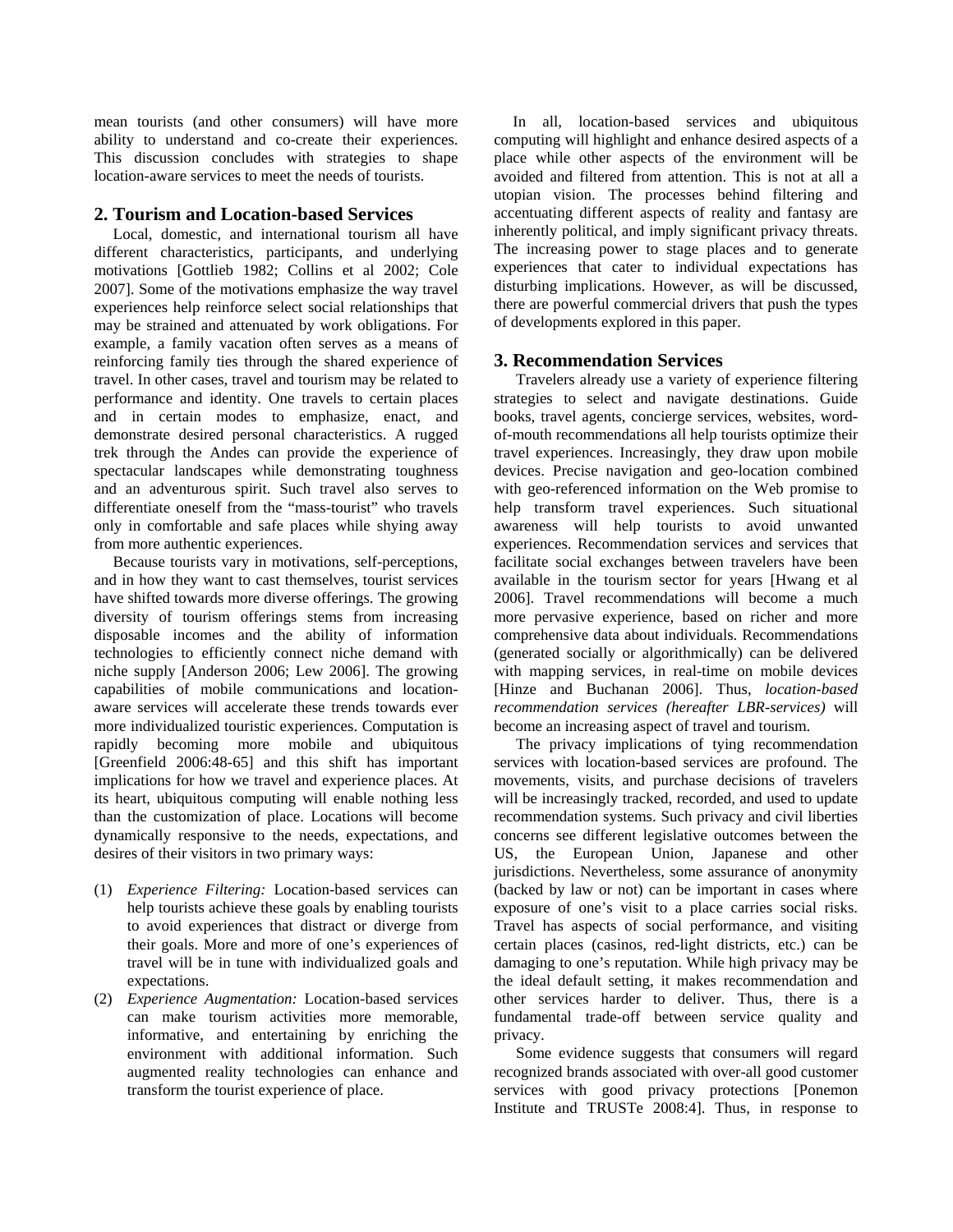mean tourists (and other consumers) will have more ability to understand and co-create their experiences. This discussion concludes with strategies to shape location-aware services to meet the needs of tourists.

### **2. Tourism and Location-based Services**

Local, domestic, and international tourism all have different characteristics, participants, and underlying motivations [Gottlieb 1982; Collins et al 2002; Cole 2007]. Some of the motivations emphasize the way travel experiences help reinforce select social relationships that may be strained and attenuated by work obligations. For example, a family vacation often serves as a means of reinforcing family ties through the shared experience of travel. In other cases, travel and tourism may be related to performance and identity. One travels to certain places and in certain modes to emphasize, enact, and demonstrate desired personal characteristics. A rugged trek through the Andes can provide the experience of spectacular landscapes while demonstrating toughness and an adventurous spirit. Such travel also serves to differentiate oneself from the "mass-tourist" who travels only in comfortable and safe places while shying away from more authentic experiences.

Because tourists vary in motivations, self-perceptions, and in how they want to cast themselves, tourist services have shifted towards more diverse offerings. The growing diversity of tourism offerings stems from increasing disposable incomes and the ability of information technologies to efficiently connect niche demand with niche supply [Anderson 2006; Lew 2006]. The growing capabilities of mobile communications and locationaware services will accelerate these trends towards ever more individualized touristic experiences. Computation is rapidly becoming more mobile and ubiquitous [Greenfield 2006:48-65] and this shift has important implications for how we travel and experience places. At its heart, ubiquitous computing will enable nothing less than the customization of place. Locations will become dynamically responsive to the needs, expectations, and desires of their visitors in two primary ways:

- (1) *Experience Filtering:* Location-based services can help tourists achieve these goals by enabling tourists to avoid experiences that distract or diverge from their goals. More and more of one's experiences of travel will be in tune with individualized goals and expectations.
- (2) *Experience Augmentation:* Location-based services can make tourism activities more memorable, informative, and entertaining by enriching the environment with additional information. Such augmented reality technologies can enhance and transform the tourist experience of place.

In all, location-based services and ubiquitous computing will highlight and enhance desired aspects of a place while other aspects of the environment will be avoided and filtered from attention. This is not at all a utopian vision. The processes behind filtering and accentuating different aspects of reality and fantasy are inherently political, and imply significant privacy threats. The increasing power to stage places and to generate experiences that cater to individual expectations has disturbing implications. However, as will be discussed, there are powerful commercial drivers that push the types of developments explored in this paper.

## **3. Recommendation Services**

Travelers already use a variety of experience filtering strategies to select and navigate destinations. Guide books, travel agents, concierge services, websites, wordof-mouth recommendations all help tourists optimize their travel experiences. Increasingly, they draw upon mobile devices. Precise navigation and geo-location combined with geo-referenced information on the Web promise to help transform travel experiences. Such situational awareness will help tourists to avoid unwanted experiences. Recommendation services and services that facilitate social exchanges between travelers have been available in the tourism sector for years [Hwang et al 2006]. Travel recommendations will become a much more pervasive experience, based on richer and more comprehensive data about individuals. Recommendations (generated socially or algorithmically) can be delivered with mapping services, in real-time on mobile devices [Hinze and Buchanan 2006]. Thus, *location-based recommendation services (hereafter LBR-services)* will become an increasing aspect of travel and tourism.

The privacy implications of tying recommendation services with location-based services are profound. The movements, visits, and purchase decisions of travelers will be increasingly tracked, recorded, and used to update recommendation systems. Such privacy and civil liberties concerns see different legislative outcomes between the US, the European Union, Japanese and other jurisdictions. Nevertheless, some assurance of anonymity (backed by law or not) can be important in cases where exposure of one's visit to a place carries social risks. Travel has aspects of social performance, and visiting certain places (casinos, red-light districts, etc.) can be damaging to one's reputation. While high privacy may be the ideal default setting, it makes recommendation and other services harder to deliver. Thus, there is a fundamental trade-off between service quality and privacy.

Some evidence suggests that consumers will regard recognized brands associated with over-all good customer services with good privacy protections [Ponemon Institute and TRUSTe 2008:4]. Thus, in response to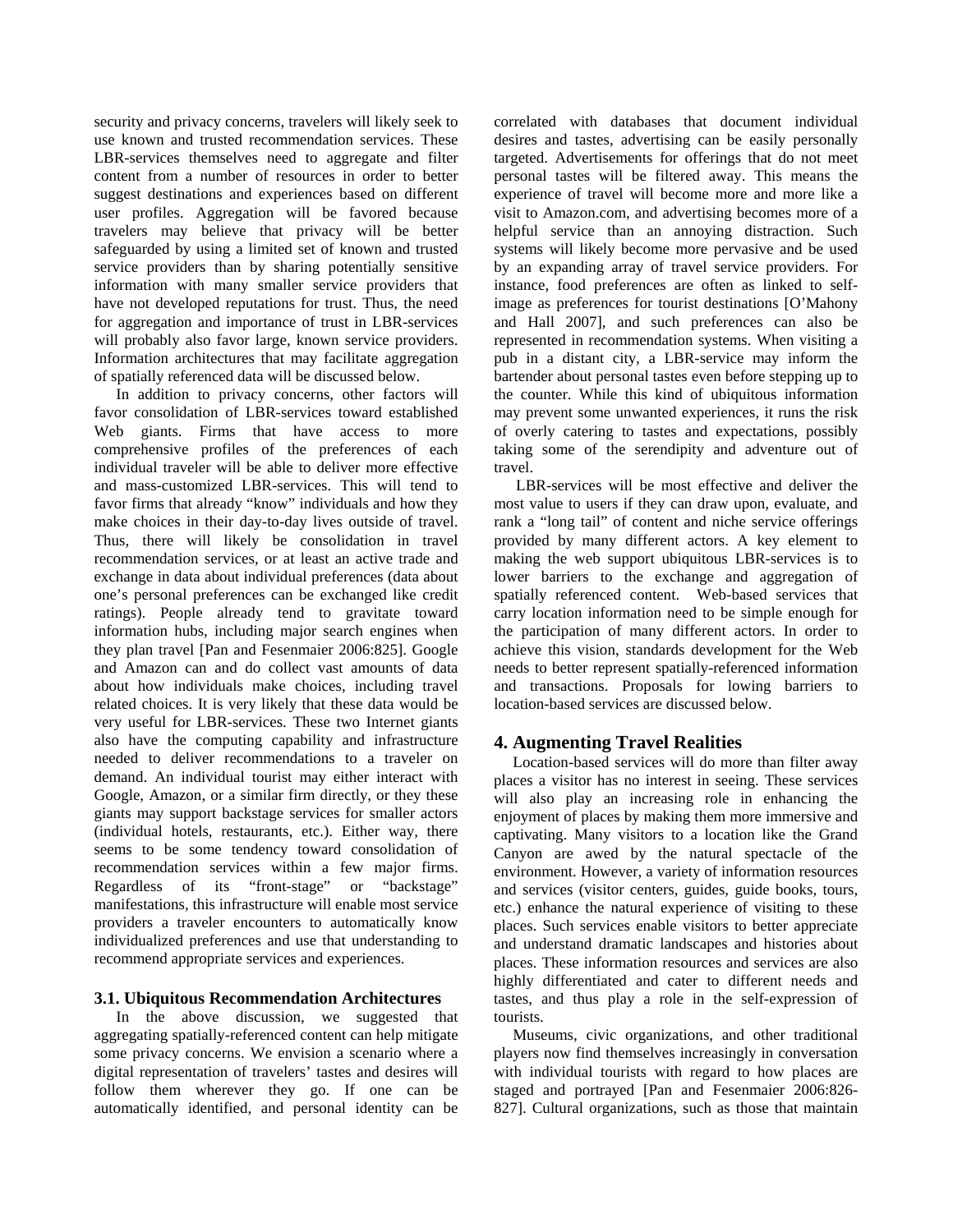security and privacy concerns, travelers will likely seek to use known and trusted recommendation services. These LBR-services themselves need to aggregate and filter content from a number of resources in order to better suggest destinations and experiences based on different user profiles. Aggregation will be favored because travelers may believe that privacy will be better safeguarded by using a limited set of known and trusted service providers than by sharing potentially sensitive information with many smaller service providers that have not developed reputations for trust. Thus, the need for aggregation and importance of trust in LBR-services will probably also favor large, known service providers. Information architectures that may facilitate aggregation of spatially referenced data will be discussed below.

In addition to privacy concerns, other factors will favor consolidation of LBR-services toward established Web giants. Firms that have access to more comprehensive profiles of the preferences of each individual traveler will be able to deliver more effective and mass-customized LBR-services. This will tend to favor firms that already "know" individuals and how they make choices in their day-to-day lives outside of travel. Thus, there will likely be consolidation in travel recommendation services, or at least an active trade and exchange in data about individual preferences (data about one's personal preferences can be exchanged like credit ratings). People already tend to gravitate toward information hubs, including major search engines when they plan travel [Pan and Fesenmaier 2006:825]. Google and Amazon can and do collect vast amounts of data about how individuals make choices, including travel related choices. It is very likely that these data would be very useful for LBR-services. These two Internet giants also have the computing capability and infrastructure needed to deliver recommendations to a traveler on demand. An individual tourist may either interact with Google, Amazon, or a similar firm directly, or they these giants may support backstage services for smaller actors (individual hotels, restaurants, etc.). Either way, there seems to be some tendency toward consolidation of recommendation services within a few major firms. Regardless of its "front-stage" or "backstage" manifestations, this infrastructure will enable most service providers a traveler encounters to automatically know individualized preferences and use that understanding to recommend appropriate services and experiences.

#### **3.1. Ubiquitous Recommendation Architectures**

In the above discussion, we suggested that aggregating spatially-referenced content can help mitigate some privacy concerns. We envision a scenario where a digital representation of travelers' tastes and desires will follow them wherever they go. If one can be automatically identified, and personal identity can be correlated with databases that document individual desires and tastes, advertising can be easily personally targeted. Advertisements for offerings that do not meet personal tastes will be filtered away. This means the experience of travel will become more and more like a visit to Amazon.com, and advertising becomes more of a helpful service than an annoying distraction. Such systems will likely become more pervasive and be used by an expanding array of travel service providers. For instance, food preferences are often as linked to selfimage as preferences for tourist destinations [O'Mahony and Hall 2007], and such preferences can also be represented in recommendation systems. When visiting a pub in a distant city, a LBR-service may inform the bartender about personal tastes even before stepping up to the counter. While this kind of ubiquitous information may prevent some unwanted experiences, it runs the risk of overly catering to tastes and expectations, possibly taking some of the serendipity and adventure out of travel.

LBR-services will be most effective and deliver the most value to users if they can draw upon, evaluate, and rank a "long tail" of content and niche service offerings provided by many different actors. A key element to making the web support ubiquitous LBR-services is to lower barriers to the exchange and aggregation of spatially referenced content. Web-based services that carry location information need to be simple enough for the participation of many different actors. In order to achieve this vision, standards development for the Web needs to better represent spatially-referenced information and transactions. Proposals for lowing barriers to location-based services are discussed below.

### **4. Augmenting Travel Realities**

Location-based services will do more than filter away places a visitor has no interest in seeing. These services will also play an increasing role in enhancing the enjoyment of places by making them more immersive and captivating. Many visitors to a location like the Grand Canyon are awed by the natural spectacle of the environment. However, a variety of information resources and services (visitor centers, guides, guide books, tours, etc.) enhance the natural experience of visiting to these places. Such services enable visitors to better appreciate and understand dramatic landscapes and histories about places. These information resources and services are also highly differentiated and cater to different needs and tastes, and thus play a role in the self-expression of tourists.

Museums, civic organizations, and other traditional players now find themselves increasingly in conversation with individual tourists with regard to how places are staged and portrayed [Pan and Fesenmaier 2006:826- 827]. Cultural organizations, such as those that maintain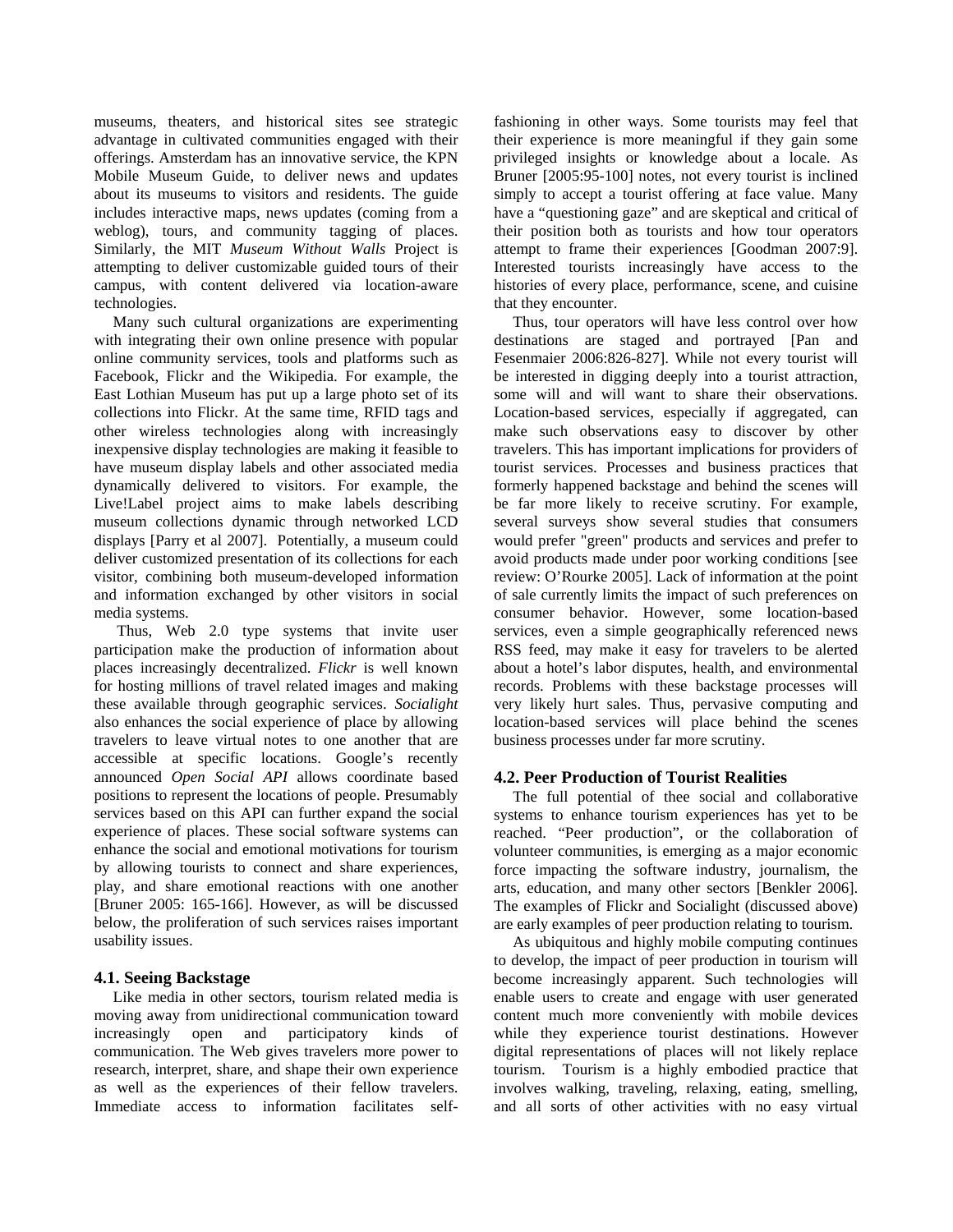museums, theaters, and historical sites see strategic advantage in cultivated communities engaged with their offerings. Amsterdam has an innovative service, the KPN Mobile Museum Guide, to deliver news and updates about its museums to visitors and residents. The guide includes interactive maps, news updates (coming from a weblog), tours, and community tagging of places. Similarly, the MIT *Museum Without Walls* Project is attempting to deliver customizable guided tours of their campus, with content delivered via location-aware technologies.

Many such cultural organizations are experimenting with integrating their own online presence with popular online community services, tools and platforms such as Facebook, Flickr and the Wikipedia. For example, the East Lothian Museum has put up a large photo set of its collections into Flickr. At the same time, RFID tags and other wireless technologies along with increasingly inexpensive display technologies are making it feasible to have museum display labels and other associated media dynamically delivered to visitors. For example, the Live!Label project aims to make labels describing museum collections dynamic through networked LCD displays [Parry et al 2007]. Potentially, a museum could deliver customized presentation of its collections for each visitor, combining both museum-developed information and information exchanged by other visitors in social media systems.

 Thus, Web 2.0 type systems that invite user participation make the production of information about places increasingly decentralized. *Flickr* is well known for hosting millions of travel related images and making these available through geographic services. *Socialight* also enhances the social experience of place by allowing travelers to leave virtual notes to one another that are accessible at specific locations. Google's recently announced *Open Social API* allows coordinate based positions to represent the locations of people. Presumably services based on this API can further expand the social experience of places. These social software systems can enhance the social and emotional motivations for tourism by allowing tourists to connect and share experiences, play, and share emotional reactions with one another [Bruner 2005: 165-166]. However, as will be discussed below, the proliferation of such services raises important usability issues.

### **4.1. Seeing Backstage**

Like media in other sectors, tourism related media is moving away from unidirectional communication toward increasingly open and participatory kinds of communication. The Web gives travelers more power to research, interpret, share, and shape their own experience as well as the experiences of their fellow travelers. Immediate access to information facilitates selffashioning in other ways. Some tourists may feel that their experience is more meaningful if they gain some privileged insights or knowledge about a locale. As Bruner [2005:95-100] notes, not every tourist is inclined simply to accept a tourist offering at face value. Many have a "questioning gaze" and are skeptical and critical of their position both as tourists and how tour operators attempt to frame their experiences [Goodman 2007:9]. Interested tourists increasingly have access to the histories of every place, performance, scene, and cuisine that they encounter.

Thus, tour operators will have less control over how destinations are staged and portrayed [Pan and Fesenmaier 2006:826-827]. While not every tourist will be interested in digging deeply into a tourist attraction, some will and will want to share their observations. Location-based services, especially if aggregated, can make such observations easy to discover by other travelers. This has important implications for providers of tourist services. Processes and business practices that formerly happened backstage and behind the scenes will be far more likely to receive scrutiny. For example, several surveys show several studies that consumers would prefer "green" products and services and prefer to avoid products made under poor working conditions [see review: O'Rourke 2005]. Lack of information at the point of sale currently limits the impact of such preferences on consumer behavior. However, some location-based services, even a simple geographically referenced news RSS feed, may make it easy for travelers to be alerted about a hotel's labor disputes, health, and environmental records. Problems with these backstage processes will very likely hurt sales. Thus, pervasive computing and location-based services will place behind the scenes business processes under far more scrutiny.

#### **4.2. Peer Production of Tourist Realities**

The full potential of thee social and collaborative systems to enhance tourism experiences has yet to be reached. "Peer production", or the collaboration of volunteer communities, is emerging as a major economic force impacting the software industry, journalism, the arts, education, and many other sectors [Benkler 2006]. The examples of Flickr and Socialight (discussed above) are early examples of peer production relating to tourism.

As ubiquitous and highly mobile computing continues to develop, the impact of peer production in tourism will become increasingly apparent. Such technologies will enable users to create and engage with user generated content much more conveniently with mobile devices while they experience tourist destinations. However digital representations of places will not likely replace tourism. Tourism is a highly embodied practice that involves walking, traveling, relaxing, eating, smelling, and all sorts of other activities with no easy virtual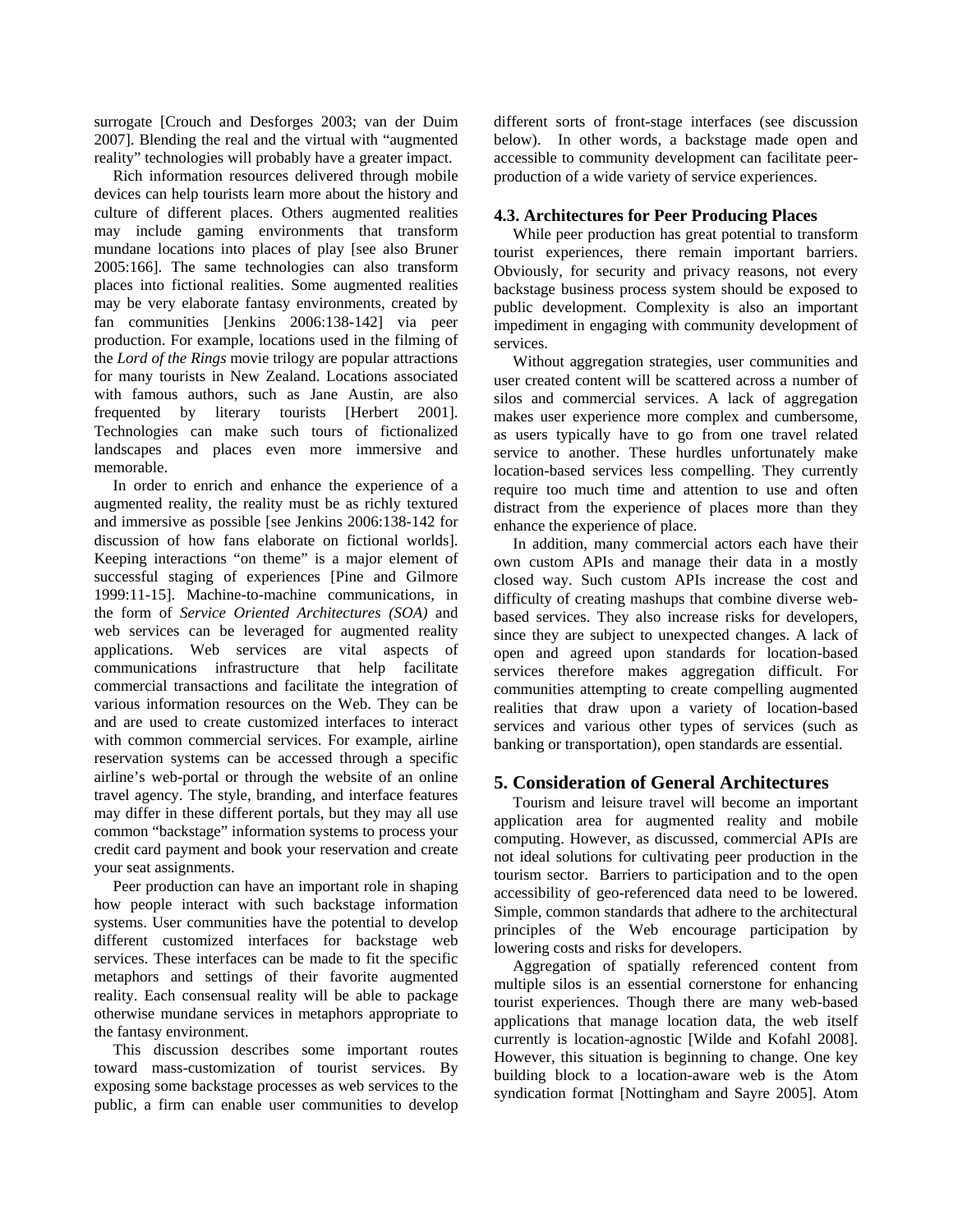surrogate [Crouch and Desforges 2003; van der Duim 2007]. Blending the real and the virtual with "augmented reality" technologies will probably have a greater impact.

Rich information resources delivered through mobile devices can help tourists learn more about the history and culture of different places. Others augmented realities may include gaming environments that transform mundane locations into places of play [see also Bruner 2005:166]. The same technologies can also transform places into fictional realities. Some augmented realities may be very elaborate fantasy environments, created by fan communities [Jenkins 2006:138-142] via peer production. For example, locations used in the filming of the *Lord of the Rings* movie trilogy are popular attractions for many tourists in New Zealand. Locations associated with famous authors, such as Jane Austin, are also frequented by literary tourists [Herbert 2001]. Technologies can make such tours of fictionalized landscapes and places even more immersive and memorable.

In order to enrich and enhance the experience of a augmented reality, the reality must be as richly textured and immersive as possible [see Jenkins 2006:138-142 for discussion of how fans elaborate on fictional worlds]. Keeping interactions "on theme" is a major element of successful staging of experiences [Pine and Gilmore 1999:11-15]. Machine-to-machine communications, in the form of *Service Oriented Architectures (SOA)* and web services can be leveraged for augmented reality applications. Web services are vital aspects of communications infrastructure that help facilitate commercial transactions and facilitate the integration of various information resources on the Web. They can be and are used to create customized interfaces to interact with common commercial services. For example, airline reservation systems can be accessed through a specific airline's web-portal or through the website of an online travel agency. The style, branding, and interface features may differ in these different portals, but they may all use common "backstage" information systems to process your credit card payment and book your reservation and create your seat assignments.

Peer production can have an important role in shaping how people interact with such backstage information systems. User communities have the potential to develop different customized interfaces for backstage web services. These interfaces can be made to fit the specific metaphors and settings of their favorite augmented reality. Each consensual reality will be able to package otherwise mundane services in metaphors appropriate to the fantasy environment.

This discussion describes some important routes toward mass-customization of tourist services. By exposing some backstage processes as web services to the public, a firm can enable user communities to develop

different sorts of front-stage interfaces (see discussion below). In other words, a backstage made open and accessible to community development can facilitate peerproduction of a wide variety of service experiences.

#### **4.3. Architectures for Peer Producing Places**

While peer production has great potential to transform tourist experiences, there remain important barriers. Obviously, for security and privacy reasons, not every backstage business process system should be exposed to public development. Complexity is also an important impediment in engaging with community development of services.

Without aggregation strategies, user communities and user created content will be scattered across a number of silos and commercial services. A lack of aggregation makes user experience more complex and cumbersome, as users typically have to go from one travel related service to another. These hurdles unfortunately make location-based services less compelling. They currently require too much time and attention to use and often distract from the experience of places more than they enhance the experience of place.

In addition, many commercial actors each have their own custom APIs and manage their data in a mostly closed way. Such custom APIs increase the cost and difficulty of creating mashups that combine diverse webbased services. They also increase risks for developers, since they are subject to unexpected changes. A lack of open and agreed upon standards for location-based services therefore makes aggregation difficult. For communities attempting to create compelling augmented realities that draw upon a variety of location-based services and various other types of services (such as banking or transportation), open standards are essential.

### **5. Consideration of General Architectures**

Tourism and leisure travel will become an important application area for augmented reality and mobile computing. However, as discussed, commercial APIs are not ideal solutions for cultivating peer production in the tourism sector. Barriers to participation and to the open accessibility of geo-referenced data need to be lowered. Simple, common standards that adhere to the architectural principles of the Web encourage participation by lowering costs and risks for developers.

Aggregation of spatially referenced content from multiple silos is an essential cornerstone for enhancing tourist experiences. Though there are many web-based applications that manage location data, the web itself currently is location-agnostic [Wilde and Kofahl 2008]. However, this situation is beginning to change. One key building block to a location-aware web is the Atom syndication format [Nottingham and Sayre 2005]. Atom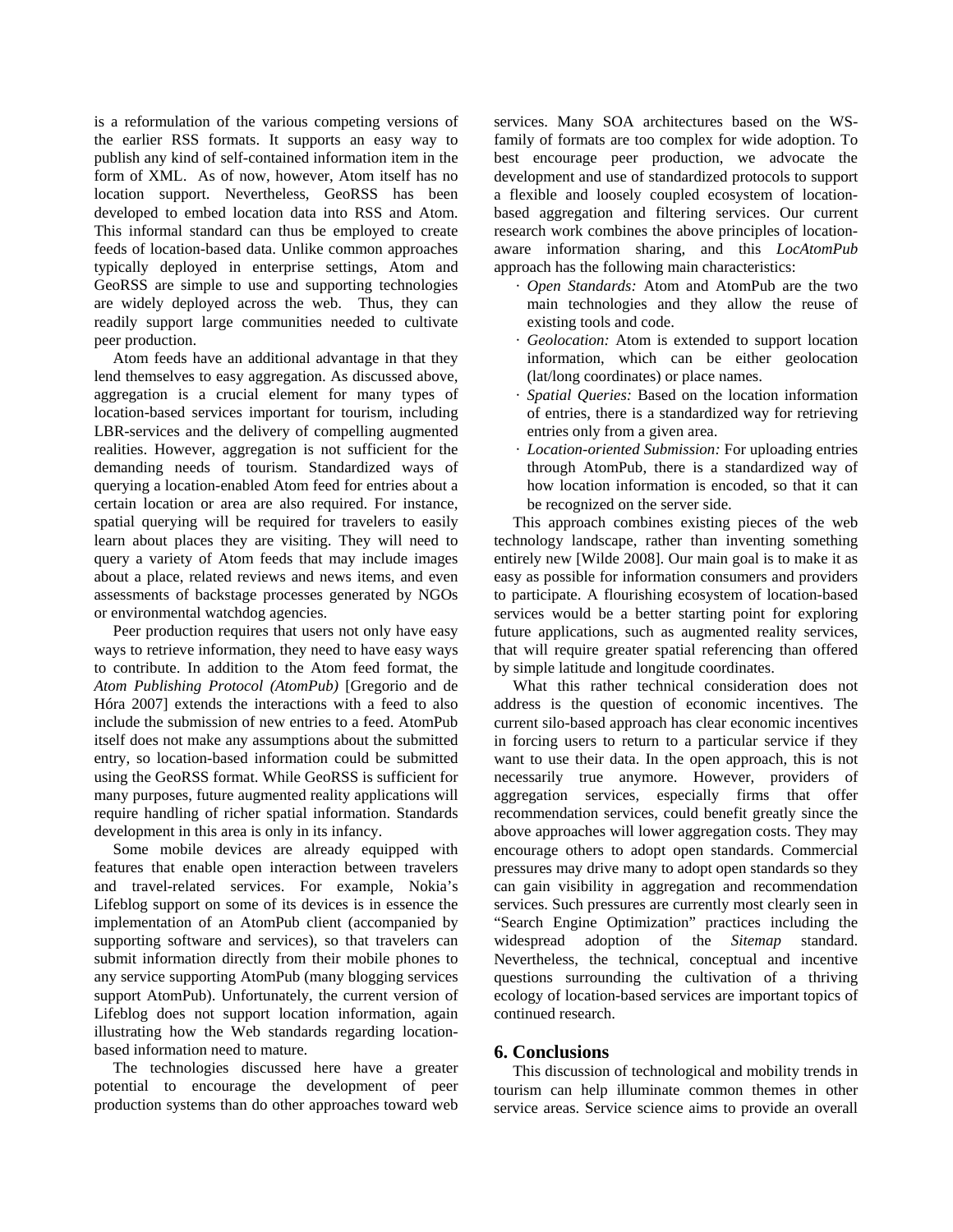is a reformulation of the various competing versions of the earlier RSS formats. It supports an easy way to publish any kind of self-contained information item in the form of XML. As of now, however, Atom itself has no location support. Nevertheless, GeoRSS has been developed to embed location data into RSS and Atom. This informal standard can thus be employed to create feeds of location-based data. Unlike common approaches typically deployed in enterprise settings, Atom and GeoRSS are simple to use and supporting technologies are widely deployed across the web. Thus, they can readily support large communities needed to cultivate peer production.

Atom feeds have an additional advantage in that they lend themselves to easy aggregation. As discussed above, aggregation is a crucial element for many types of location-based services important for tourism, including LBR-services and the delivery of compelling augmented realities. However, aggregation is not sufficient for the demanding needs of tourism. Standardized ways of querying a location-enabled Atom feed for entries about a certain location or area are also required. For instance, spatial querying will be required for travelers to easily learn about places they are visiting. They will need to query a variety of Atom feeds that may include images about a place, related reviews and news items, and even assessments of backstage processes generated by NGOs or environmental watchdog agencies.

Peer production requires that users not only have easy ways to retrieve information, they need to have easy ways to contribute. In addition to the Atom feed format, the *Atom Publishing Protocol (AtomPub)* [Gregorio and de Hóra 2007] extends the interactions with a feed to also include the submission of new entries to a feed. AtomPub itself does not make any assumptions about the submitted entry, so location-based information could be submitted using the GeoRSS format. While GeoRSS is sufficient for many purposes, future augmented reality applications will require handling of richer spatial information. Standards development in this area is only in its infancy.

Some mobile devices are already equipped with features that enable open interaction between travelers and travel-related services. For example, Nokia's Lifeblog support on some of its devices is in essence the implementation of an AtomPub client (accompanied by supporting software and services), so that travelers can submit information directly from their mobile phones to any service supporting AtomPub (many blogging services support AtomPub). Unfortunately, the current version of Lifeblog does not support location information, again illustrating how the Web standards regarding locationbased information need to mature.

The technologies discussed here have a greater potential to encourage the development of peer production systems than do other approaches toward web

services. Many SOA architectures based on the WSfamily of formats are too complex for wide adoption. To best encourage peer production, we advocate the development and use of standardized protocols to support a flexible and loosely coupled ecosystem of locationbased aggregation and filtering services. Our current research work combines the above principles of locationaware information sharing, and this *LocAtomPub* approach has the following main characteristics:

- · *Open Standards:* Atom and AtomPub are the two main technologies and they allow the reuse of existing tools and code.
- · *Geolocation:* Atom is extended to support location information, which can be either geolocation (lat/long coordinates) or place names.
- · *Spatial Queries:* Based on the location information of entries, there is a standardized way for retrieving entries only from a given area.
- · *Location-oriented Submission:* For uploading entries through AtomPub, there is a standardized way of how location information is encoded, so that it can be recognized on the server side.

This approach combines existing pieces of the web technology landscape, rather than inventing something entirely new [Wilde 2008]. Our main goal is to make it as easy as possible for information consumers and providers to participate. A flourishing ecosystem of location-based services would be a better starting point for exploring future applications, such as augmented reality services, that will require greater spatial referencing than offered by simple latitude and longitude coordinates.

What this rather technical consideration does not address is the question of economic incentives. The current silo-based approach has clear economic incentives in forcing users to return to a particular service if they want to use their data. In the open approach, this is not necessarily true anymore. However, providers of aggregation services, especially firms that offer recommendation services, could benefit greatly since the above approaches will lower aggregation costs. They may encourage others to adopt open standards. Commercial pressures may drive many to adopt open standards so they can gain visibility in aggregation and recommendation services. Such pressures are currently most clearly seen in "Search Engine Optimization" practices including the widespread adoption of the *Sitemap* standard. Nevertheless, the technical, conceptual and incentive questions surrounding the cultivation of a thriving ecology of location-based services are important topics of continued research.

### **6. Conclusions**

This discussion of technological and mobility trends in tourism can help illuminate common themes in other service areas. Service science aims to provide an overall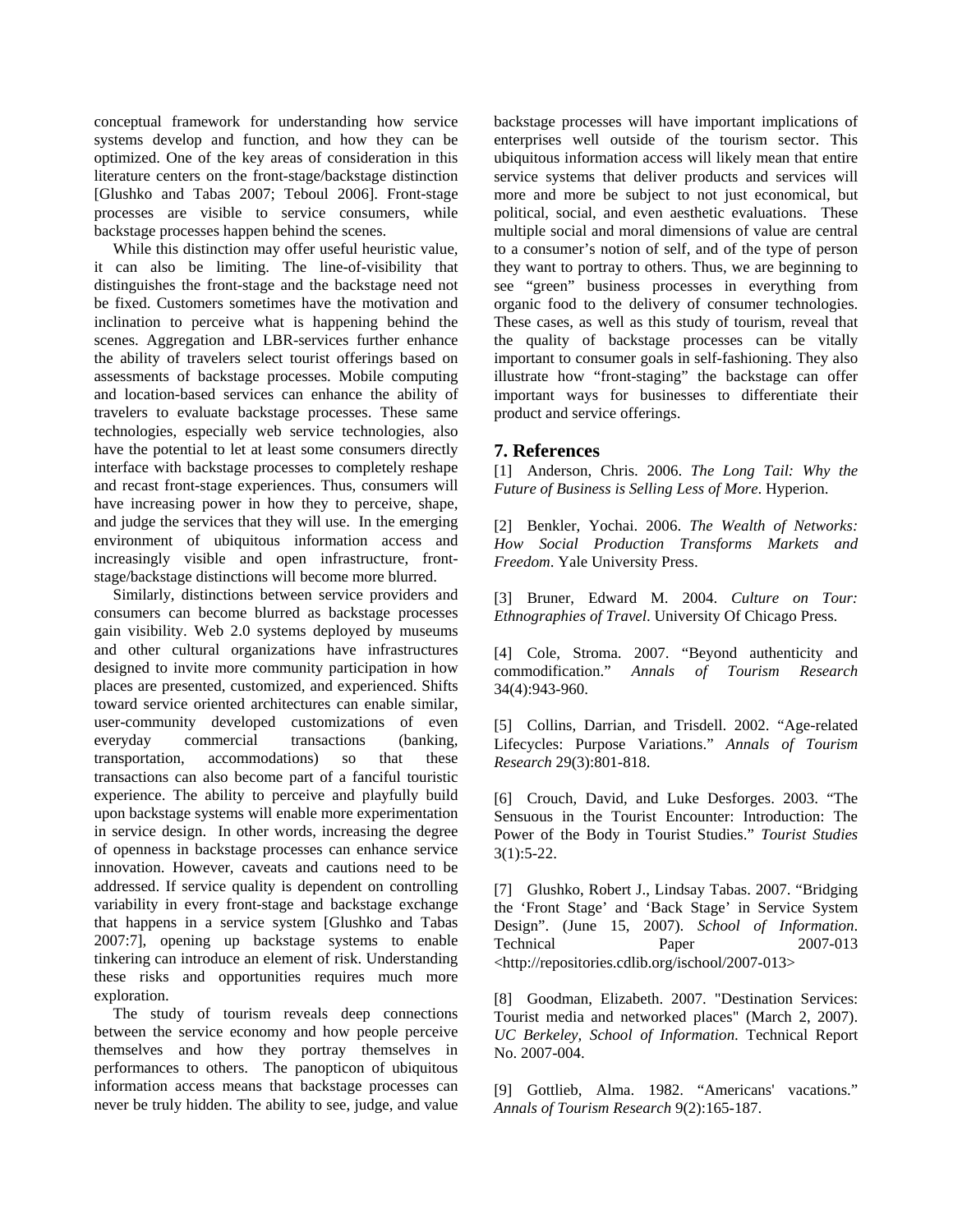conceptual framework for understanding how service systems develop and function, and how they can be optimized. One of the key areas of consideration in this literature centers on the front-stage/backstage distinction [Glushko and Tabas 2007; Teboul 2006]. Front-stage processes are visible to service consumers, while backstage processes happen behind the scenes.

While this distinction may offer useful heuristic value, it can also be limiting. The line-of-visibility that distinguishes the front-stage and the backstage need not be fixed. Customers sometimes have the motivation and inclination to perceive what is happening behind the scenes. Aggregation and LBR-services further enhance the ability of travelers select tourist offerings based on assessments of backstage processes. Mobile computing and location-based services can enhance the ability of travelers to evaluate backstage processes. These same technologies, especially web service technologies, also have the potential to let at least some consumers directly interface with backstage processes to completely reshape and recast front-stage experiences. Thus, consumers will have increasing power in how they to perceive, shape, and judge the services that they will use. In the emerging environment of ubiquitous information access and increasingly visible and open infrastructure, frontstage/backstage distinctions will become more blurred.

Similarly, distinctions between service providers and consumers can become blurred as backstage processes gain visibility. Web 2.0 systems deployed by museums and other cultural organizations have infrastructures designed to invite more community participation in how places are presented, customized, and experienced. Shifts toward service oriented architectures can enable similar, user-community developed customizations of even everyday commercial transactions (banking, transportation, accommodations) so that these transactions can also become part of a fanciful touristic experience. The ability to perceive and playfully build upon backstage systems will enable more experimentation in service design. In other words, increasing the degree of openness in backstage processes can enhance service innovation. However, caveats and cautions need to be addressed. If service quality is dependent on controlling variability in every front-stage and backstage exchange that happens in a service system [Glushko and Tabas 2007:7], opening up backstage systems to enable tinkering can introduce an element of risk. Understanding these risks and opportunities requires much more exploration.

The study of tourism reveals deep connections between the service economy and how people perceive themselves and how they portray themselves in performances to others. The panopticon of ubiquitous information access means that backstage processes can never be truly hidden. The ability to see, judge, and value backstage processes will have important implications of enterprises well outside of the tourism sector. This ubiquitous information access will likely mean that entire service systems that deliver products and services will more and more be subject to not just economical, but political, social, and even aesthetic evaluations. These multiple social and moral dimensions of value are central to a consumer's notion of self, and of the type of person they want to portray to others. Thus, we are beginning to see "green" business processes in everything from organic food to the delivery of consumer technologies. These cases, as well as this study of tourism, reveal that the quality of backstage processes can be vitally important to consumer goals in self-fashioning. They also illustrate how "front-staging" the backstage can offer important ways for businesses to differentiate their product and service offerings.

### **7. References**

[1] Anderson, Chris. 2006. *The Long Tail: Why the Future of Business is Selling Less of More*. Hyperion.

[2] Benkler, Yochai. 2006. *The Wealth of Networks: How Social Production Transforms Markets and Freedom*. Yale University Press.

[3] Bruner, Edward M. 2004. *Culture on Tour: Ethnographies of Travel*. University Of Chicago Press.

[4] Cole, Stroma. 2007. "Beyond authenticity and commodification." *Annals of Tourism Research* 34(4):943-960.

[5] Collins, Darrian, and Trisdell. 2002. "Age-related Lifecycles: Purpose Variations." *Annals of Tourism Research* 29(3):801-818.

[6] Crouch, David, and Luke Desforges. 2003. "The Sensuous in the Tourist Encounter: Introduction: The Power of the Body in Tourist Studies." *Tourist Studies* 3(1):5-22.

[7] Glushko, Robert J., Lindsay Tabas. 2007. "Bridging the 'Front Stage' and 'Back Stage' in Service System Design". (June 15, 2007). *School of Information*. Technical Paper 2007-013 <http://repositories.cdlib.org/ischool/2007-013>

[8] Goodman, Elizabeth. 2007. "Destination Services: Tourist media and networked places" (March 2, 2007). *UC Berkeley, School of Information*. Technical Report No. 2007-004.

[9] Gottlieb, Alma. 1982. "Americans' vacations." *Annals of Tourism Research* 9(2):165-187.